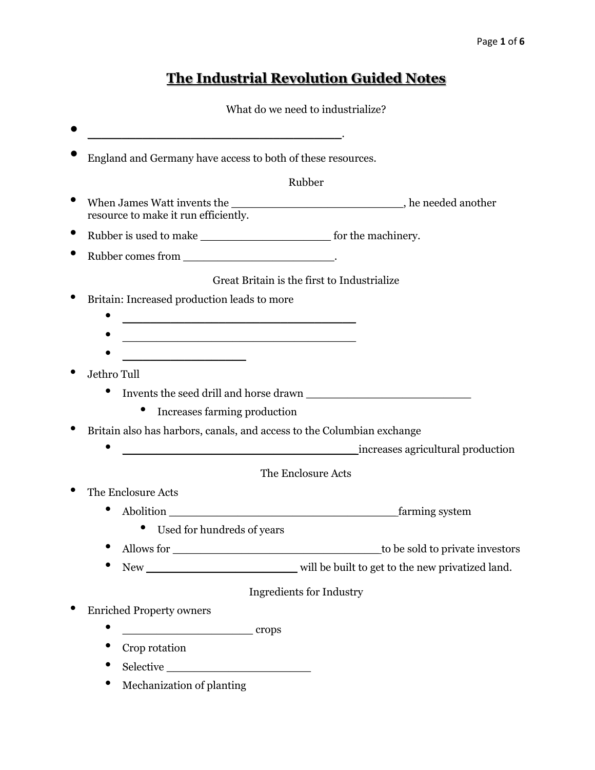# **The Industrial Revolution Guided Notes**

What do we need to industrialize?

|                                                                                                                       | Rubber                                      |
|-----------------------------------------------------------------------------------------------------------------------|---------------------------------------------|
|                                                                                                                       |                                             |
| resource to make it run efficiently.                                                                                  |                                             |
|                                                                                                                       |                                             |
|                                                                                                                       |                                             |
|                                                                                                                       |                                             |
|                                                                                                                       | Great Britain is the first to Industrialize |
| Britain: Increased production leads to more                                                                           |                                             |
| <u> 1990 - Johann John Stone, market fan it ferskearre fan it ferskearre fan it ferskearre fan it ferskearre fan </u> |                                             |
| <u> 1989 - Johann Barbara, martxa alemaniar amerikan basar da da a shekara a shekara a shekara a shekara a shekar</u> |                                             |
| <u> 1990 - Johann John Stone, mars et al.</u>                                                                         |                                             |
| Jethro Tull                                                                                                           |                                             |
|                                                                                                                       |                                             |
| $\bullet$<br>Increases farming production                                                                             |                                             |
| Britain also has harbors, canals, and access to the Columbian exchange                                                |                                             |
| <u> 1980 - Johann Barn, mars ar breithinn ar breithinn ar breithinn ar breithinn ar breithinn ar breithinn ar br</u>  | increases agricultural production           |
|                                                                                                                       | The Enclosure Acts                          |
| The Enclosure Acts                                                                                                    |                                             |
|                                                                                                                       |                                             |
| $\bullet$                                                                                                             |                                             |
|                                                                                                                       | farming system                              |
| Used for hundreds of years                                                                                            |                                             |
| Allows for                                                                                                            |                                             |
|                                                                                                                       |                                             |
|                                                                                                                       | <b>Ingredients for Industry</b>             |
| <b>Enriched Property owners</b>                                                                                       |                                             |
| $\bullet$<br>crops                                                                                                    |                                             |
| Crop rotation                                                                                                         | to be sold to private investors             |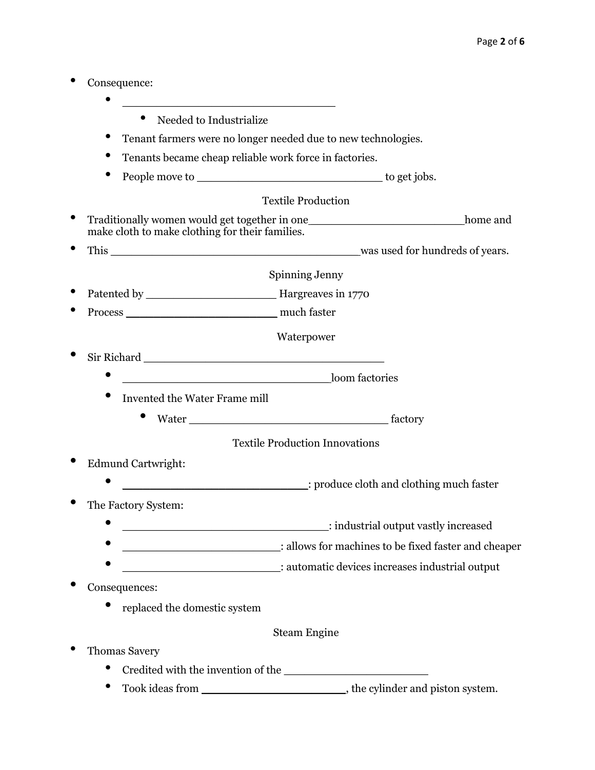- Consequence:
	- \_\_\_\_\_\_\_\_\_\_\_\_\_\_\_\_\_\_\_\_\_\_\_\_\_\_\_\_\_\_\_ • Needed to Industrialize
	- Tenant farmers were no longer needed due to new technologies.
	- Tenants became cheap reliable work force in factories.
	- People move to  $\bullet$  be to get jobs.

# Textile Production

- Traditionally women would get together in one \_\_\_\_\_\_\_\_\_\_\_\_\_\_\_\_\_\_\_\_\_\_\_\_\_\_\_\_ home and make cloth to make clothing for their families.
- This \_\_\_\_\_\_\_\_\_\_\_\_\_\_\_\_\_\_\_\_\_\_\_\_\_\_\_\_\_\_\_\_\_\_\_\_ was used for hundreds of years.

Spinning Jenny

- Patented by \_\_\_\_\_\_\_\_\_\_\_\_\_\_\_\_\_\_\_ Hargreaves in 1770
- Process \_\_\_\_\_\_\_\_\_\_\_\_\_\_\_\_\_\_\_\_\_\_ much faster

Waterpower

- $\begin{minipage}[c]{0.9\linewidth} \textbf{Sir Richard} \end{minipage}[{\color{red}the image] \begin{minipage}[c]{0.9\linewidth} \textbf{Sir Richard} \end{minipage}[{\color{red}the image] \begin{minipage}[c]{0.9\linewidth} \textbf{with} $\color{blue}the image is a function of the image.} \end{minipage} \vspace{-0.3cm}$ 
	- $\sim$  1000 factories
		- Invented the Water Frame mill
			- Water factory

# Textile Production Innovations

- Edmund Cartwright:
	- \_\_\_\_\_\_\_\_\_\_\_\_\_\_\_\_\_\_\_\_\_\_\_\_\_\_\_: produce cloth and clothing much faster
- The Factory System:
	- : industrial output vastly increased
	- : allows for machines to be fixed faster and cheaper
	- \_\_\_\_\_\_\_\_\_\_\_\_\_\_\_\_\_\_\_\_\_\_\_: automatic devices increases industrial output
- Consequences:
	- replaced the domestic system

## Steam Engine

- Thomas Savery
	- Credited with the invention of the \_\_\_\_\_\_\_\_\_\_\_\_\_\_\_\_\_\_\_\_\_
	- Took ideas from \_\_\_\_\_\_\_\_\_\_\_\_\_\_\_\_\_\_\_\_\_\_\_\_, the cylinder and piston system.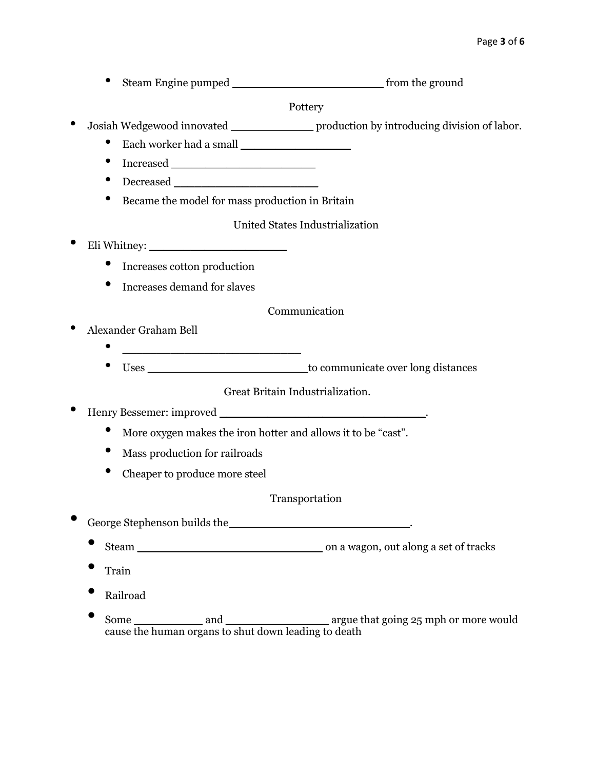• Steam Engine pumped \_\_\_\_\_\_\_\_\_\_\_\_\_\_\_\_\_\_\_\_\_\_ from the ground

Pottery

- Josiah Wedgewood innovated \_\_\_\_\_\_\_\_\_\_\_\_ production by introducing division of labor.
	- Each worker had a small \_\_\_\_\_\_\_\_\_\_\_\_\_\_\_\_
	- Increased \_\_\_\_\_\_\_\_\_\_\_\_\_\_\_\_\_\_\_\_\_
	- Decreased \_\_\_\_\_\_\_\_\_\_\_\_\_\_\_\_\_\_\_\_\_
	- Became the model for mass production in Britain

United States Industrialization

- Eli Whitney:
	- Increases cotton production
	- Increases demand for slaves

Communication

- Alexander Graham Bell
	- \_\_\_\_\_\_\_\_\_\_\_\_\_\_\_\_\_\_\_\_\_\_\_\_\_\_
		- Uses \_\_\_\_\_\_\_\_\_\_\_\_\_\_\_\_\_\_\_\_\_\_\_ to communicate over long distances

Great Britain Industrialization.

• Henry Bessemer: improved \_\_\_\_\_\_\_\_\_\_\_\_\_\_\_\_\_\_\_\_\_\_\_\_\_\_\_\_\_\_.

- More oxygen makes the iron hotter and allows it to be "cast".
- Mass production for railroads
- Cheaper to produce more steel

## Transportation

- George Stephenson builds the  $\blacksquare$ 
	- Steam on a wagon, out along a set of tracks
	- Train
	- Railroad
	- Some \_\_\_\_\_\_\_\_\_\_ and \_\_\_\_\_\_\_\_\_\_\_\_\_\_\_ argue that going 25 mph or more would cause the human organs to shut down leading to death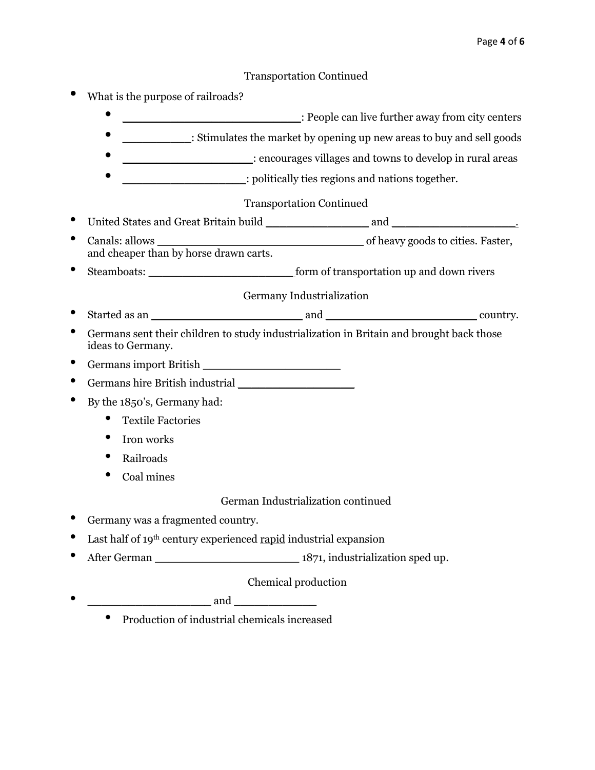## Transportation Continued

- What is the purpose of railroads?
	- **\_\_\_\_\_\_\_\_\_\_\_\_\_\_\_\_\_\_\_\_\_\_**: People can live further away from city centers
	- Stimulates the market by opening up new areas to buy and sell goods
	- **\_\_\_\_\_\_\_\_\_\_\_\_\_\_\_\_\_\_\_\_\_\_**: encourages villages and towns to develop in rural areas
	- $\Box$  politically ties regions and nations together.

## Transportation Continued

- United States and Great Britain build \_\_\_\_\_\_\_\_\_\_\_\_\_\_\_ and \_\_\_\_\_\_\_\_\_\_\_\_\_\_\_\_\_\_. • Canals: allows \_\_\_\_\_\_\_\_\_\_\_\_\_\_\_\_\_\_\_\_\_\_\_\_\_\_\_\_\_\_ of heavy goods to cities. Faster, and cheaper than by horse drawn carts.
- Steamboats: \_\_\_\_\_\_\_\_\_\_\_\_\_\_\_\_\_\_\_\_\_ form of transportation up and down rivers

Germany Industrialization

- Started as an \_\_\_\_\_\_\_\_\_\_\_\_\_\_\_\_\_\_\_\_\_\_ and \_\_\_\_\_\_\_\_\_\_\_\_\_\_\_\_\_\_\_\_\_\_ country.
- Germans sent their children to study industrialization in Britain and brought back those ideas to Germany.
- Germans import British
- Germans hire British industrial \_\_\_\_\_\_\_\_\_\_\_\_\_\_\_\_\_
- By the 1850's, Germany had:
	- Textile Factories
	- Iron works
	- Railroads
	- Coal mines

German Industrialization continued

- Germany was a fragmented country.
- Last half of 19<sup>th</sup> century experienced rapid industrial expansion
- After German \_\_\_\_\_\_\_\_\_\_\_\_\_\_\_\_\_\_\_\_\_ 1871, industrialization sped up.

Chemical production

- and  $\overline{\mathbf{a}}$ 
	- Production of industrial chemicals increased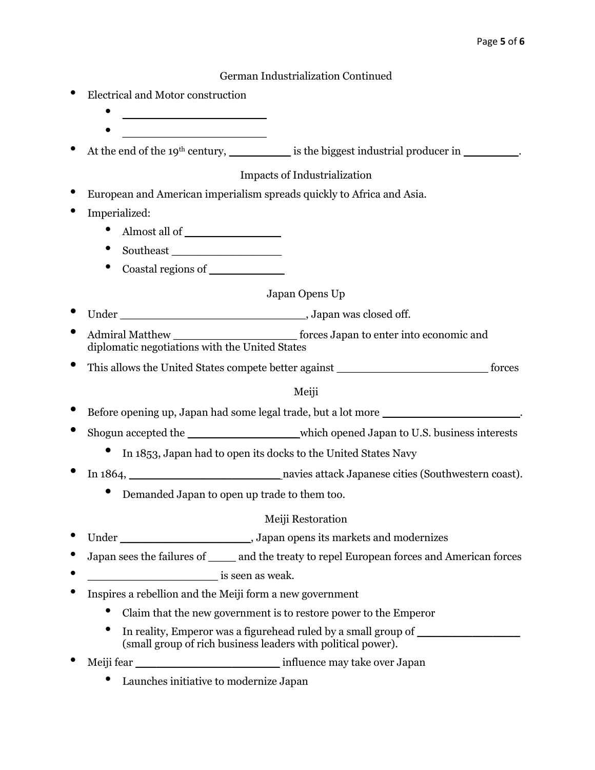German Industrialization Continued

- Electrical and Motor construction
	- \_\_\_\_\_\_\_\_\_\_\_\_\_\_\_\_\_\_\_\_\_
	- \_\_\_\_\_\_\_\_\_\_\_\_\_\_\_\_\_\_\_\_\_

At the end of the 19<sup>th</sup> century,  $\qquad \qquad$  is the biggest industrial producer in  $\qquad \qquad$ .

Impacts of Industrialization

- European and American imperialism spreads quickly to Africa and Asia.
- Imperialized:
	- Almost all of
	- Southeast \_\_\_\_\_\_\_\_\_\_\_\_\_\_\_\_
	- Coastal regions of

# Japan Opens Up

- Under \_\_\_\_\_\_\_\_\_\_\_\_\_\_\_\_\_\_\_\_\_\_\_\_\_\_\_, Japan was closed off.
- Admiral Matthew forces Japan to enter into economic and diplomatic negotiations with the United States
- This allows the United States compete better against \_\_\_\_\_\_\_\_\_\_\_\_\_\_\_\_\_\_\_\_\_\_\_\_\_\_\_\_ forces

## Meiji

- Before opening up, Japan had some legal trade, but a lot more \_\_\_\_\_\_\_\_\_\_\_\_\_\_\_\_\_\_\_\_.
- Shogun accepted the \_\_\_\_\_\_\_\_\_\_\_\_\_\_\_\_ which opened Japan to U.S. business interests
	- In 1853, Japan had to open its docks to the United States Navy
- In 1864, \_\_\_\_\_\_\_\_\_\_\_\_\_\_\_\_\_\_\_\_\_\_ navies attack Japanese cities (Southwestern coast).
	- Demanded Japan to open up trade to them too.

## Meiji Restoration

- Under \_\_\_\_\_\_\_\_\_\_\_\_\_\_\_\_\_\_\_\_\_\_\_\_\_\_, Japan opens its markets and modernizes
- Japan sees the failures of \_\_\_\_ and the treaty to repel European forces and American forces
- \_\_\_\_\_\_\_\_\_\_\_\_\_\_\_\_\_\_\_ is seen as weak.
- Inspires a rebellion and the Meiji form a new government
	- Claim that the new government is to restore power to the Emperor
	- In reality, Emperor was a figurehead ruled by a small group of (small group of rich business leaders with political power).
- Meiji fear \_\_\_\_\_\_\_\_\_\_\_\_\_\_\_\_\_\_\_\_\_ influence may take over Japan
	- Launches initiative to modernize Japan